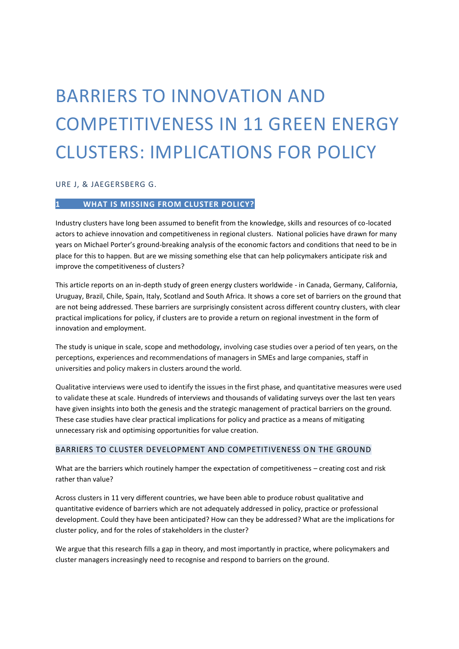# BARRIERS TO INNOVATION AND COMPETITIVENESS IN 11 GREEN ENERGY CLUSTERS: IMPLICATIONS FOR POLICY

URE J, & JAEGERSBERG G.

# **1 WHAT IS MISSING FROM CLUSTER POLICY?**

Industry clusters have long been assumed to benefit from the knowledge, skills and resources of co-located actors to achieve innovation and competitiveness in regional clusters. National policies have drawn for many years on Michael Porter's ground-breaking analysis of the economic factors and conditions that need to be in place for this to happen. But are we missing something else that can help policymakers anticipate risk and improve the competitiveness of clusters?

This article reports on an in-depth study of green energy clusters worldwide - in Canada, Germany, California, Uruguay, Brazil, Chile, Spain, Italy, Scotland and South Africa. It shows a core set of barriers on the ground that are not being addressed. These barriers are surprisingly consistent across different country clusters, with clear practical implications for policy, if clusters are to provide a return on regional investment in the form of innovation and employment.

The study is unique in scale, scope and methodology, involving case studies over a period of ten years, on the perceptions, experiences and recommendations of managers in SMEs and large companies, staff in universities and policy makers in clusters around the world.

Qualitative interviews were used to identify the issues in the first phase, and quantitative measures were used to validate these at scale. Hundreds of interviews and thousands of validating surveys over the last ten years have given insights into both the genesis and the strategic management of practical barriers on the ground. These case studies have clear practical implications for policy and practice as a means of mitigating unnecessary risk and optimising opportunities for value creation.

# BARRIERS TO CLUSTER DEVELOPMENT AND COMPETITIVENESS ON THE GROUND

What are the barriers which routinely hamper the expectation of competitiveness – creating cost and risk rather than value?

Across clusters in 11 very different countries, we have been able to produce robust qualitative and quantitative evidence of barriers which are not adequately addressed in policy, practice or professional development. Could they have been anticipated? How can they be addressed? What are the implications for cluster policy, and for the roles of stakeholders in the cluster?

We argue that this research fills a gap in theory, and most importantly in practice, where policymakers and cluster managers increasingly need to recognise and respond to barriers on the ground.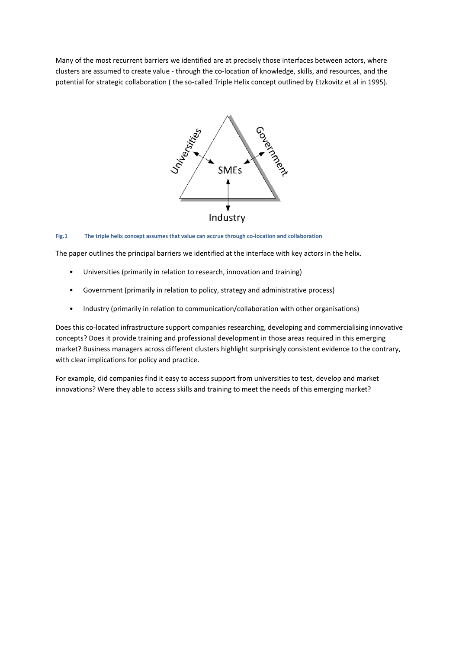Many of the most recurrent barriers we identified are at precisely those interfaces between actors, where clusters are assumed to create value - through the co-location of knowledge, skills, and resources, and the potential for strategic collaboration ( the so-called Triple Helix concept outlined by Etzkovitz et al in 1995).



#### **Fig.1 The triple helix concept assumes that value can accrue through co-location and collaboration**

The paper outlines the principal barriers we identified at the interface with key actors in the helix.

- Universities (primarily in relation to research, innovation and training)
- Government (primarily in relation to policy, strategy and administrative process)
- Industry (primarily in relation to communication/collaboration with other organisations)

Does this co-located infrastructure support companies researching, developing and commercialising innovative concepts? Does it provide training and professional development in those areas required in this emerging market? Business managers across different clusters highlight surprisingly consistent evidence to the contrary, with clear implications for policy and practice.

For example, did companies find it easy to access support from universities to test, develop and market innovations? Were they able to access skills and training to meet the needs of this emerging market?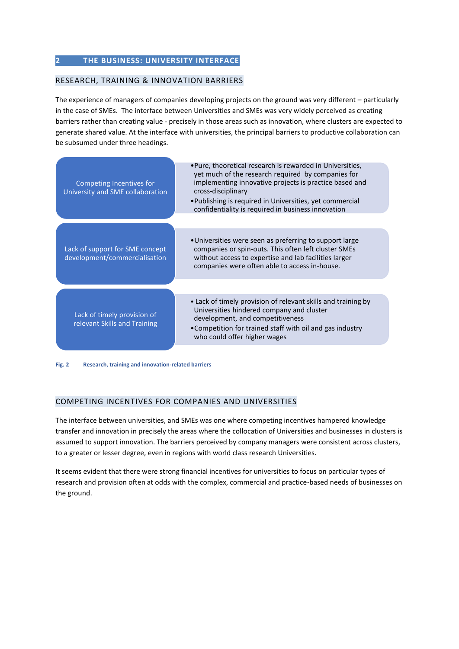# **2 THE BUSINESS: UNIVERSITY INTERFACE**

# RESEARCH, TRAINING & INNOVATION BARRIERS

The experience of managers of companies developing projects on the ground was very different – particularly in the case of SMEs. The interface between Universities and SMEs was very widely perceived as creating barriers rather than creating value - precisely in those areas such as innovation, where clusters are expected to generate shared value. At the interface with universities, the principal barriers to productive collaboration can be subsumed under three headings.

| Competing Incentives for<br>University and SME collaboration     | . Pure, theoretical research is rewarded in Universities,<br>yet much of the research required by companies for<br>implementing innovative projects is practice based and<br>cross-disciplinary<br>• Publishing is required in Universities, yet commercial<br>confidentiality is required in business innovation |
|------------------------------------------------------------------|-------------------------------------------------------------------------------------------------------------------------------------------------------------------------------------------------------------------------------------------------------------------------------------------------------------------|
| Lack of support for SME concept<br>development/commercialisation | •Universities were seen as preferring to support large<br>companies or spin-outs. This often left cluster SMEs<br>without access to expertise and lab facilities larger<br>companies were often able to access in-house.                                                                                          |
| Lack of timely provision of<br>relevant Skills and Training      | • Lack of timely provision of relevant skills and training by<br>Universities hindered company and cluster<br>development, and competitiveness<br>•Competition for trained staff with oil and gas industry<br>who could offer higher wages                                                                        |

**Fig. 2 Research, training and innovation-related barriers** 

# COMPETING INCENTIVES FOR COMPANIES AND UNIVERSITIES

The interface between universities, and SMEs was one where competing incentives hampered knowledge transfer and innovation in precisely the areas where the collocation of Universities and businesses in clusters is assumed to support innovation. The barriers perceived by company managers were consistent across clusters, to a greater or lesser degree, even in regions with world class research Universities.

It seems evident that there were strong financial incentives for universities to focus on particular types of research and provision often at odds with the complex, commercial and practice-based needs of businesses on the ground.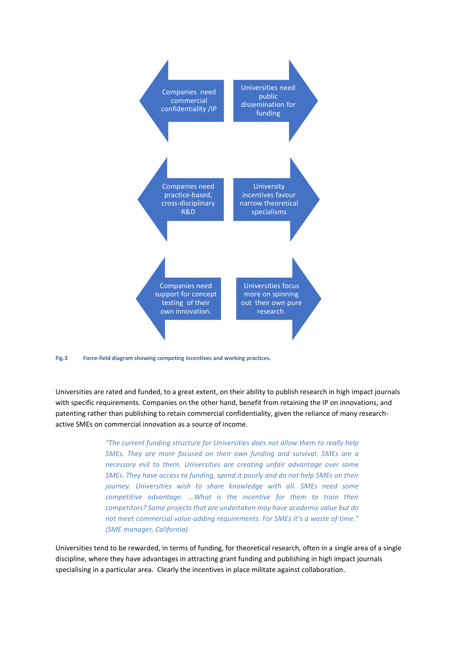

**Fig.3 Force-field diagram showing competing incentives and working practices.**

Universities are rated and funded, to a great extent, on their ability to publish research in high impact journals with specific requirements. Companies on the other hand, benefit from retaining the IP on innovations, and patenting rather than publishing to retain commercial confidentiality, given the reliance of many researchactive SMEs on commercial innovation as a source of income.

> *"The current funding structure for Universities does not allow them to really help SMEs. They are more focused on their own funding and survival. SMEs are a necessary evil to them. Universities are creating unfair advantage over some SMEs. They have access to funding, spend it poorly and do not help SMEs on their journey. Universities wish to share knowledge with all. SMEs need some competitive advantage. ...What is the incentive for them to train their competitors? Some projects that are undertaken may have academic value but do not meet commercial value-adding requirements. For SMEs it's a waste of time." (SME manager, California)*

Universities tend to be rewarded, in terms of funding, for theoretical research, often in a single area of a single discipline, where they have advantages in attracting grant funding and publishing in high impact journals specialising in a particular area. Clearly the incentives in place militate against collaboration.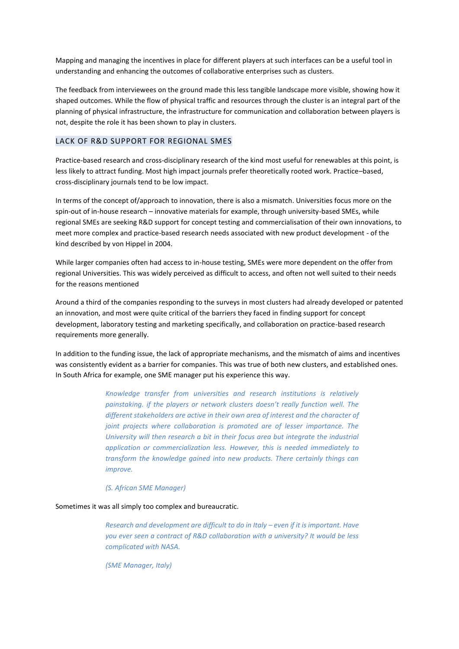Mapping and managing the incentives in place for different players at such interfaces can be a useful tool in understanding and enhancing the outcomes of collaborative enterprises such as clusters.

The feedback from interviewees on the ground made this less tangible landscape more visible, showing how it shaped outcomes. While the flow of physical traffic and resources through the cluster is an integral part of the planning of physical infrastructure, the infrastructure for communication and collaboration between players is not, despite the role it has been shown to play in clusters.

# LACK OF R&D SUPPORT FOR REGIONAL SMES

Practice-based research and cross-disciplinary research of the kind most useful for renewables at this point, is less likely to attract funding. Most high impact journals prefer theoretically rooted work. Practice–based, cross-disciplinary journals tend to be low impact.

In terms of the concept of/approach to innovation, there is also a mismatch. Universities focus more on the spin-out of in-house research – innovative materials for example, through university-based SMEs, while regional SMEs are seeking R&D support for concept testing and commercialisation of their own innovations, to meet more complex and practice-based research needs associated with new product development - of the kind described by von Hippel in 2004.

While larger companies often had access to in-house testing, SMEs were more dependent on the offer from regional Universities. This was widely perceived as difficult to access, and often not well suited to their needs for the reasons mentioned

Around a third of the companies responding to the surveys in most clusters had already developed or patented an innovation, and most were quite critical of the barriers they faced in finding support for concept development, laboratory testing and marketing specifically, and collaboration on practice-based research requirements more generally.

In addition to the funding issue, the lack of appropriate mechanisms, and the mismatch of aims and incentives was consistently evident as a barrier for companies. This was true of both new clusters, and established ones. In South Africa for example, one SME manager put his experience this way.

> *Knowledge transfer from universities and research institutions is relatively painstaking. if the players or network clusters doesn't really function well. The different stakeholders are active in their own area of interest and the character of joint projects where collaboration is promoted are of lesser importance. The University will then research a bit in their focus area but integrate the industrial application or commercialization less. However, this is needed immediately to transform the knowledge gained into new products. There certainly things can improve.*

#### *(S. African SME Manager)*

#### Sometimes it was all simply too complex and bureaucratic.

*Research and development are difficult to do in Italy – even if it is important. Have you ever seen a contract of R&D collaboration with a university? It would be less complicated with NASA.* 

*(SME Manager, Italy)*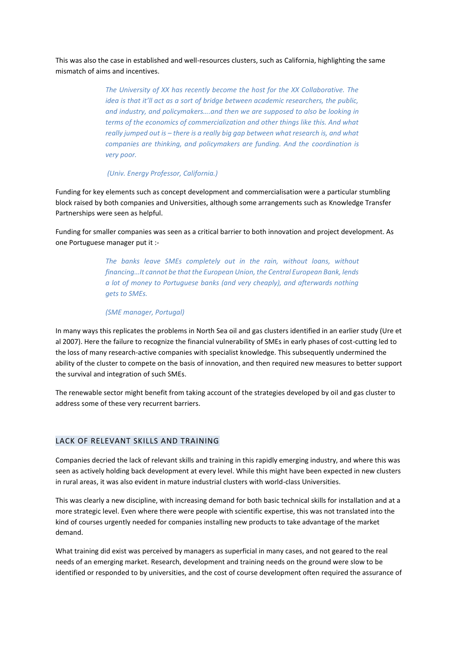This was also the case in established and well-resources clusters, such as California, highlighting the same mismatch of aims and incentives.

> *The University of XX has recently become the host for the XX Collaborative. The idea is that it'll act as a sort of bridge between academic researchers, the public, and industry, and policymakers….and then we are supposed to also be looking in terms of the economics of commercialization and other things like this. And what really jumped out is – there is a really big gap between what research is, and what companies are thinking, and policymakers are funding. And the coordination is very poor.*

*(Univ. Energy Professor, California.)*

Funding for key elements such as concept development and commercialisation were a particular stumbling block raised by both companies and Universities, although some arrangements such as Knowledge Transfer Partnerships were seen as helpful.

Funding for smaller companies was seen as a critical barrier to both innovation and project development. As one Portuguese manager put it :-

> *The banks leave SMEs completely out in the rain, without loans, without financing…It cannot be that the European Union, the Central European Bank, lends a lot of money to Portuguese banks (and very cheaply), and afterwards nothing gets to SMEs.*

#### *(SME manager, Portugal)*

In many ways this replicates the problems in North Sea oil and gas clusters identified in an earlier study (Ure et al 2007). Here the failure to recognize the financial vulnerability of SMEs in early phases of cost-cutting led to the loss of many research-active companies with specialist knowledge. This subsequently undermined the ability of the cluster to compete on the basis of innovation, and then required new measures to better support the survival and integration of such SMEs.

The renewable sector might benefit from taking account of the strategies developed by oil and gas cluster to address some of these very recurrent barriers.

## LACK OF RELEVANT SKILLS AND TRAINING

Companies decried the lack of relevant skills and training in this rapidly emerging industry, and where this was seen as actively holding back development at every level. While this might have been expected in new clusters in rural areas, it was also evident in mature industrial clusters with world-class Universities.

This was clearly a new discipline, with increasing demand for both basic technical skills for installation and at a more strategic level. Even where there were people with scientific expertise, this was not translated into the kind of courses urgently needed for companies installing new products to take advantage of the market demand.

What training did exist was perceived by managers as superficial in many cases, and not geared to the real needs of an emerging market. Research, development and training needs on the ground were slow to be identified or responded to by universities, and the cost of course development often required the assurance of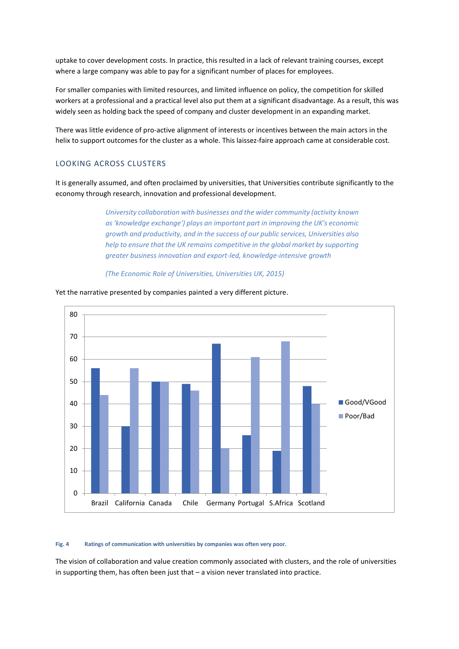uptake to cover development costs. In practice, this resulted in a lack of relevant training courses, except where a large company was able to pay for a significant number of places for employees.

For smaller companies with limited resources, and limited influence on policy, the competition for skilled workers at a professional and a practical level also put them at a significant disadvantage. As a result, this was widely seen as holding back the speed of company and cluster development in an expanding market.

There was little evidence of pro-active alignment of interests or incentives between the main actors in the helix to support outcomes for the cluster as a whole. This laissez-faire approach came at considerable cost.

## LOOKING ACROSS CLUSTERS

It is generally assumed, and often proclaimed by universities, that Universities contribute significantly to the economy through research, innovation and professional development.

> *University collaboration with businesses and the wider community (activity known as 'knowledge exchange') plays an important part in improving the UK's economic growth and productivity, and in the success of our public services, Universities also help to ensure that the UK remains competitive in the global market by supporting greater business innovation and export-led, knowledge-intensive growth*

*(The Economic Role of Universities, Universities UK, 2015)*



Yet the narrative presented by companies painted a very different picture.

#### **Fig. 4 Ratings of communication with universities by companies was often very poor.**

The vision of collaboration and value creation commonly associated with clusters, and the role of universities in supporting them, has often been just that – a vision never translated into practice.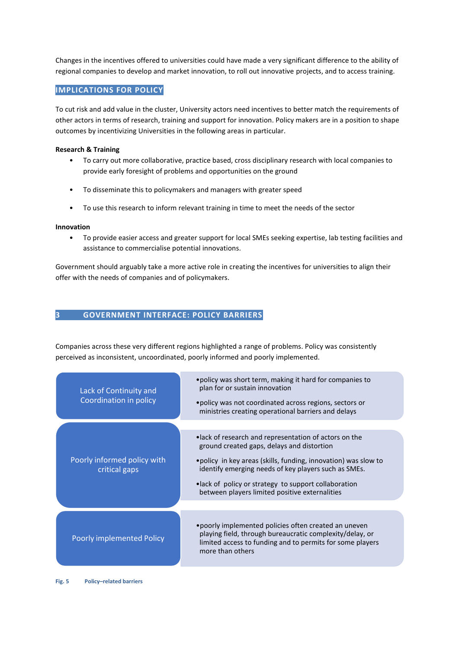Changes in the incentives offered to universities could have made a very significant difference to the ability of regional companies to develop and market innovation, to roll out innovative projects, and to access training.

# **IMPLICATIONS FOR POLICY**

To cut risk and add value in the cluster, University actors need incentives to better match the requirements of other actors in terms of research, training and support for innovation. Policy makers are in a position to shape outcomes by incentivizing Universities in the following areas in particular.

## **Research & Training**

- To carry out more collaborative, practice based, cross disciplinary research with local companies to provide early foresight of problems and opportunities on the ground
- To disseminate this to policymakers and managers with greater speed
- To use this research to inform relevant training in time to meet the needs of the sector

#### **Innovation**

• To provide easier access and greater support for local SMEs seeking expertise, lab testing facilities and assistance to commercialise potential innovations.

Government should arguably take a more active role in creating the incentives for universities to align their offer with the needs of companies and of policymakers.

# **3 GOVERNMENT INTERFACE: POLICY BARRIERS**

Companies across these very different regions highlighted a range of problems. Policy was consistently perceived as inconsistent, uncoordinated, poorly informed and poorly implemented.

| Lack of Continuity and<br>Coordination in policy | • policy was short term, making it hard for companies to<br>plan for or sustain innovation<br>• policy was not coordinated across regions, sectors or<br>ministries creating operational barriers and delays |  |
|--------------------------------------------------|--------------------------------------------------------------------------------------------------------------------------------------------------------------------------------------------------------------|--|
|                                                  |                                                                                                                                                                                                              |  |
| Poorly informed policy with<br>critical gaps     | • lack of research and representation of actors on the<br>ground created gaps, delays and distortion                                                                                                         |  |
|                                                  | • policy in key areas (skills, funding, innovation) was slow to<br>identify emerging needs of key players such as SMEs.                                                                                      |  |
|                                                  | • lack of policy or strategy to support collaboration<br>between players limited positive externalities                                                                                                      |  |
|                                                  |                                                                                                                                                                                                              |  |
| Poorly implemented Policy                        | • poorly implemented policies often created an uneven<br>playing field, through bureaucratic complexity/delay, or<br>limited access to funding and to permits for some players<br>more than others           |  |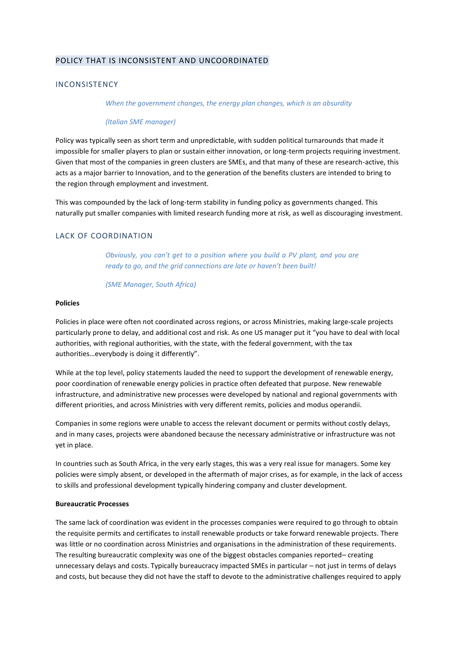# POLICY THAT IS INCONSISTENT AND UNCOORDINATED

#### INCONSISTENCY

*When the government changes, the energy plan changes, which is an absurdity*

#### *(Italian SME manager)*

Policy was typically seen as short term and unpredictable, with sudden political turnarounds that made it impossible for smaller players to plan or sustain either innovation, or long-term projects requiring investment. Given that most of the companies in green clusters are SMEs, and that many of these are research-active, this acts as a major barrier to Innovation, and to the generation of the benefits clusters are intended to bring to the region through employment and investment.

This was compounded by the lack of long-term stability in funding policy as governments changed. This naturally put smaller companies with limited research funding more at risk, as well as discouraging investment.

## LACK OF COORDINATION

*Obviously, you can't get to a position where you build a PV plant, and you are ready to go, and the grid connections are late or haven't been built!* 

*(SME Manager, South Africa)*

#### **Policies**

Policies in place were often not coordinated across regions, or across Ministries, making large-scale projects particularly prone to delay, and additional cost and risk. As one US manager put it "you have to deal with local authorities, with regional authorities, with the state, with the federal government, with the tax authorities…everybody is doing it differently".

While at the top level, policy statements lauded the need to support the development of renewable energy, poor coordination of renewable energy policies in practice often defeated that purpose. New renewable infrastructure, and administrative new processes were developed by national and regional governments with different priorities, and across Ministries with very different remits, policies and modus operandii.

Companies in some regions were unable to access the relevant document or permits without costly delays, and in many cases, projects were abandoned because the necessary administrative or infrastructure was not yet in place.

In countries such as South Africa, in the very early stages, this was a very real issue for managers. Some key policies were simply absent, or developed in the aftermath of major crises, as for example, in the lack of access to skills and professional development typically hindering company and cluster development.

#### **Bureaucratic Processes**

The same lack of coordination was evident in the processes companies were required to go through to obtain the requisite permits and certificates to install renewable products or take forward renewable projects. There was little or no coordination across Ministries and organisations in the administration of these requirements. The resulting bureaucratic complexity was one of the biggest obstacles companies reported– creating unnecessary delays and costs. Typically bureaucracy impacted SMEs in particular – not just in terms of delays and costs, but because they did not have the staff to devote to the administrative challenges required to apply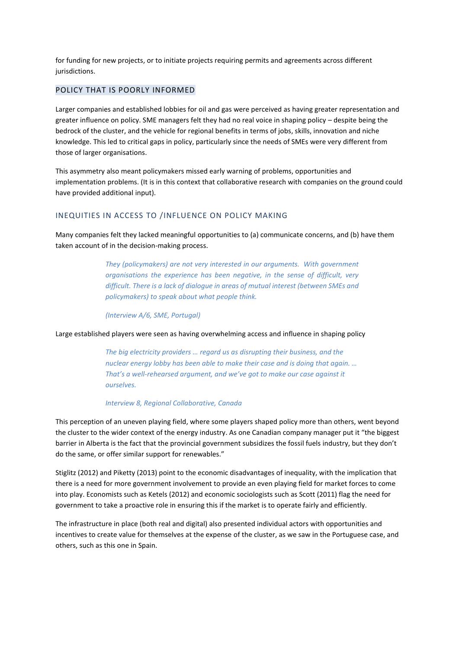for funding for new projects, or to initiate projects requiring permits and agreements across different jurisdictions.

## POLICY THAT IS POORLY INFORMED

Larger companies and established lobbies for oil and gas were perceived as having greater representation and greater influence on policy. SME managers felt they had no real voice in shaping policy – despite being the bedrock of the cluster, and the vehicle for regional benefits in terms of jobs, skills, innovation and niche knowledge. This led to critical gaps in policy, particularly since the needs of SMEs were very different from those of larger organisations.

This asymmetry also meant policymakers missed early warning of problems, opportunities and implementation problems. (It is in this context that collaborative research with companies on the ground could have provided additional input).

## INEQUITIES IN ACCESS TO /INFLUENCE ON POLICY MAKING

Many companies felt they lacked meaningful opportunities to (a) communicate concerns, and (b) have them taken account of in the decision-making process.

> *They (policymakers) are not very interested in our arguments. With government organisations the experience has been negative, in the sense of difficult, very difficult. There is a lack of dialogue in areas of mutual interest (between SMEs and policymakers) to speak about what people think.*

*(Interview A/6, SME, Portugal)*

Large established players were seen as having overwhelming access and influence in shaping policy

*The big electricity providers … regard us as disrupting their business, and the nuclear energy lobby has been able to make their case and is doing that again. … That's a well-rehearsed argument, and we've got to make our case against it ourselves.* 

#### *Interview 8, Regional Collaborative, Canada*

This perception of an uneven playing field, where some players shaped policy more than others, went beyond the cluster to the wider context of the energy industry. As one Canadian company manager put it "the biggest barrier in Alberta is the fact that the provincial government subsidizes the fossil fuels industry, but they don't do the same, or offer similar support for renewables."

Stiglitz (2012) and Piketty (2013) point to the economic disadvantages of inequality, with the implication that there is a need for more government involvement to provide an even playing field for market forces to come into play. Economists such as Ketels (2012) and economic sociologists such as Scott (2011) flag the need for government to take a proactive role in ensuring this if the market is to operate fairly and efficiently.

The infrastructure in place (both real and digital) also presented individual actors with opportunities and incentives to create value for themselves at the expense of the cluster, as we saw in the Portuguese case, and others, such as this one in Spain.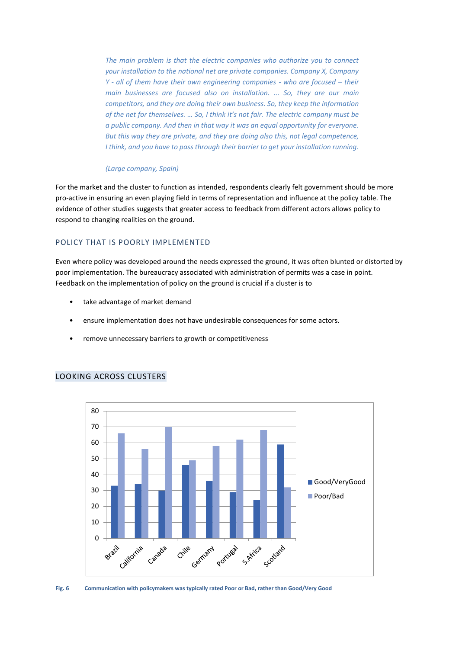*The main problem is that the electric companies who authorize you to connect your installation to the national net are private companies. Company X, Company Y* - *all of them have their own engineering companies - who are focused – their main businesses are focused also on installation. ... So, they are our main competitors, and they are doing their own business. So, they keep the information of the net for themselves. … So, I think it's not fair. The electric company must be a public company. And then in that way it was an equal opportunity for everyone. But this way they are private, and they are doing also this, not legal competence, I think, and you have to pass through their barrier to get your installation running.* 

#### *(Large company, Spain)*

For the market and the cluster to function as intended, respondents clearly felt government should be more pro-active in ensuring an even playing field in terms of representation and influence at the policy table. The evidence of other studies suggests that greater access to feedback from different actors allows policy to respond to changing realities on the ground.

# POLICY THAT IS POORLY IMPLEMENTED

Even where policy was developed around the needs expressed the ground, it was often blunted or distorted by poor implementation. The bureaucracy associated with administration of permits was a case in point. Feedback on the implementation of policy on the ground is crucial if a cluster is to

- take advantage of market demand
- ensure implementation does not have undesirable consequences for some actors.
- remove unnecessary barriers to growth or competitiveness



# LOOKING ACROSS CLUSTERS

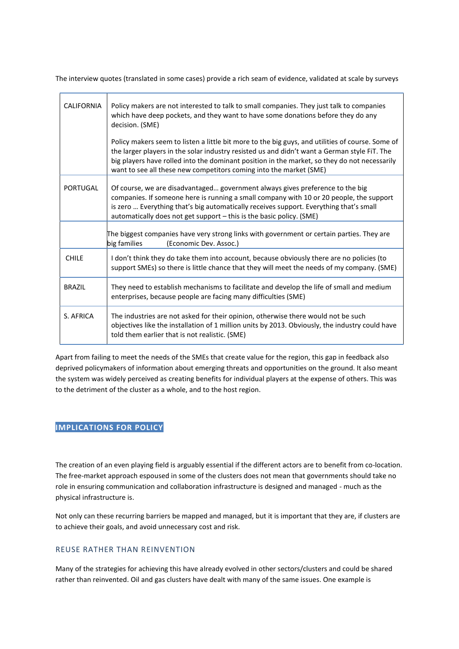The interview quotes (translated in some cases) provide a rich seam of evidence, validated at scale by surveys

| <b>CALIFORNIA</b> | Policy makers are not interested to talk to small companies. They just talk to companies<br>which have deep pockets, and they want to have some donations before they do any<br>decision. (SME)                                                                                                                                                                        |
|-------------------|------------------------------------------------------------------------------------------------------------------------------------------------------------------------------------------------------------------------------------------------------------------------------------------------------------------------------------------------------------------------|
|                   | Policy makers seem to listen a little bit more to the big guys, and utilities of course. Some of<br>the larger players in the solar industry resisted us and didn't want a German style FiT. The<br>big players have rolled into the dominant position in the market, so they do not necessarily<br>want to see all these new competitors coming into the market (SME) |
| PORTUGAL          | Of course, we are disadvantaged government always gives preference to the big<br>companies. If someone here is running a small company with 10 or 20 people, the support<br>is zero  Everything that's big automatically receives support. Everything that's small<br>automatically does not get support - this is the basic policy. (SME)                             |
|                   | The biggest companies have very strong links with government or certain parties. They are<br>big families<br>(Economic Dev. Assoc.)                                                                                                                                                                                                                                    |
| <b>CHILE</b>      | I don't think they do take them into account, because obviously there are no policies (to<br>support SMEs) so there is little chance that they will meet the needs of my company. (SME)                                                                                                                                                                                |
| <b>BRAZIL</b>     | They need to establish mechanisms to facilitate and develop the life of small and medium<br>enterprises, because people are facing many difficulties (SME)                                                                                                                                                                                                             |
| S. AFRICA         | The industries are not asked for their opinion, otherwise there would not be such<br>objectives like the installation of 1 million units by 2013. Obviously, the industry could have<br>told them earlier that is not realistic. (SME)                                                                                                                                 |

Apart from failing to meet the needs of the SMEs that create value for the region, this gap in feedback also deprived policymakers of information about emerging threats and opportunities on the ground. It also meant the system was widely perceived as creating benefits for individual players at the expense of others. This was to the detriment of the cluster as a whole, and to the host region.

# **IMPLICATIONS FOR POLICY**

The creation of an even playing field is arguably essential if the different actors are to benefit from co-location. The free-market approach espoused in some of the clusters does not mean that governments should take no role in ensuring communication and collaboration infrastructure is designed and managed - much as the physical infrastructure is.

Not only can these recurring barriers be mapped and managed, but it is important that they are, if clusters are to achieve their goals, and avoid unnecessary cost and risk.

# REUSE RATHER THAN REINVENTION

Many of the strategies for achieving this have already evolved in other sectors/clusters and could be shared rather than reinvented. Oil and gas clusters have dealt with many of the same issues. One example is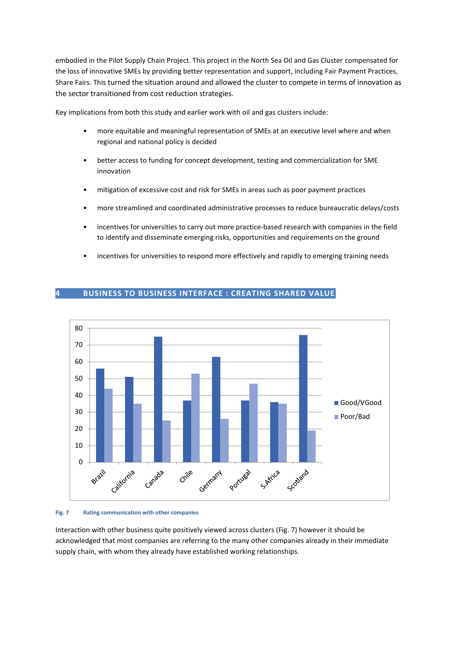embodied in the Pilot Supply Chain Project. This project in the North Sea Oil and Gas Cluster compensated for the loss of innovative SMEs by providing better representation and support, including Fair Payment Practices, Share Fairs. This turned the situation around and allowed the cluster to compete in terms of innovation as the sector transitioned from cost reduction strategies.

Key implications from both this study and earlier work with oil and gas clusters include:

- more equitable and meaningful representation of SMEs at an executive level where and when regional and national policy is decided
- better access to funding for concept development, testing and commercialization for SME innovation
- mitigation of excessive cost and risk for SMEs in areas such as poor payment practices
- more streamlined and coordinated administrative processes to reduce bureaucratic delays/costs
- incentives for universities to carry out more practice-based research with companies in the field to identify and disseminate emerging risks, opportunities and requirements on the ground
- incentives for universities to respond more effectively and rapidly to emerging training needs



# **4 BUSINESS TO BUSINESS INTERFACE : CREATING SHARED VALUE**

#### **Fig. 7 Rating communication with other companies**

Interaction with other business quite positively viewed across clusters (Fig. 7) however it should be acknowledged that most companies are referring to the many other companies already in their immediate supply chain, with whom they already have established working relationships.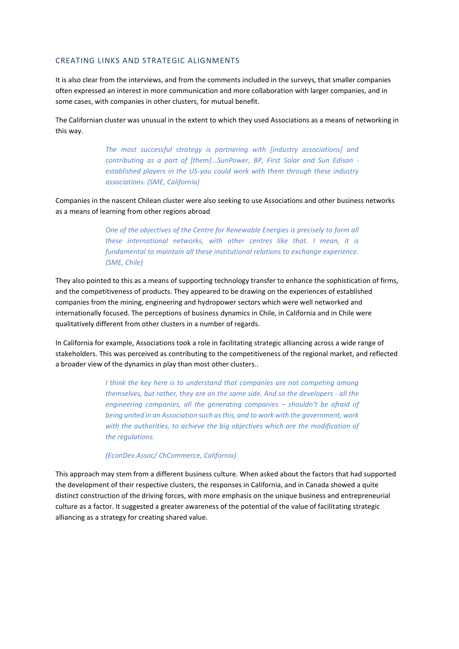#### CREATING LINKS AND STRATEGIC ALIGNMENTS

It is also clear from the interviews, and from the comments included in the surveys, that smaller companies often expressed an interest in more communication and more collaboration with larger companies, and in some cases, with companies in other clusters, for mutual benefit.

The Californian cluster was unusual in the extent to which they used Associations as a means of networking in this way.

> *The most successful strategy is partnering with [industry associations] and contributing as a part of [them]...SunPower, BP, First Solar and Sun Edison established players in the US-you could work with them through these industry associations. (SME, California)*

Companies in the nascent Chilean cluster were also seeking to use Associations and other business networks as a means of learning from other regions abroad

> *One of the objectives of the Centre for Renewable Energies is precisely to form all these international networks, with other centres like that. I mean, it is fundamental to maintain all these institutional relations to exchange experience. (SME, Chile)*

They also pointed to this as a means of supporting technology transfer to enhance the sophistication of firms, and the competitiveness of products. They appeared to be drawing on the experiences of established companies from the mining, engineering and hydropower sectors which were well networked and internationally focused. The perceptions of business dynamics in Chile, in California and in Chile were qualitatively different from other clusters in a number of regards.

In California for example, Associations took a role in facilitating strategic alliancing across a wide range of stakeholders. This was perceived as contributing to the competitiveness of the regional market, and reflected a broader view of the dynamics in play than most other clusters..

> *I think the key here is to understand that companies are not competing among themselves, but rather, they are on the same side. And so the developers - all the engineering companies, all the generating companies – shouldn't be afraid of being united in an Association such as this, and to work with the government, work with the authorities, to achieve the big objectives which are the modification of the regulations.*

#### *(EconDev.Assoc/ ChCommerce, California)*

This approach may stem from a different business culture. When asked about the factors that had supported the development of their respective clusters, the responses in California, and in Canada showed a quite distinct construction of the driving forces, with more emphasis on the unique business and entrepreneurial culture as a factor. It suggested a greater awareness of the potential of the value of facilitating strategic alliancing as a strategy for creating shared value.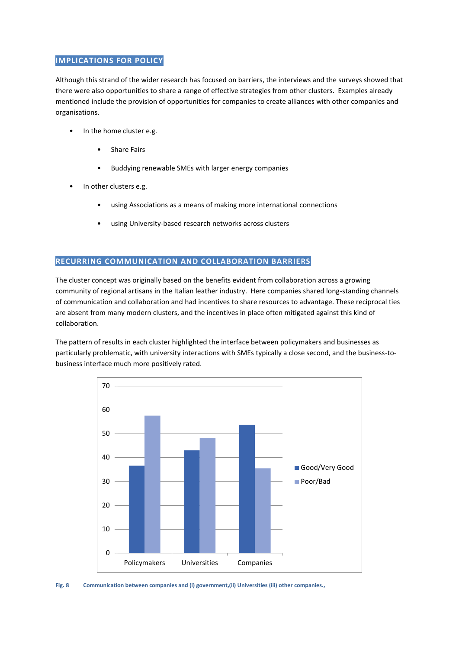# **IMPLICATIONS FOR POLICY**

Although this strand of the wider research has focused on barriers, the interviews and the surveys showed that there were also opportunities to share a range of effective strategies from other clusters. Examples already mentioned include the provision of opportunities for companies to create alliances with other companies and organisations.

- In the home cluster e.g.
	- Share Fairs
	- Buddying renewable SMEs with larger energy companies
- In other clusters e.g.
	- using Associations as a means of making more international connections
	- using University-based research networks across clusters

# • **RECURRING COMMUNICATION AND COLLABORATION BARRIERS**

The cluster concept was originally based on the benefits evident from collaboration across a growing community of regional artisans in the Italian leather industry. Here companies shared long-standing channels of communication and collaboration and had incentives to share resources to advantage. These reciprocal ties are absent from many modern clusters, and the incentives in place often mitigated against this kind of collaboration.

The pattern of results in each cluster highlighted the interface between policymakers and businesses as particularly problematic, with university interactions with SMEs typically a close second, and the business-tobusiness interface much more positively rated.



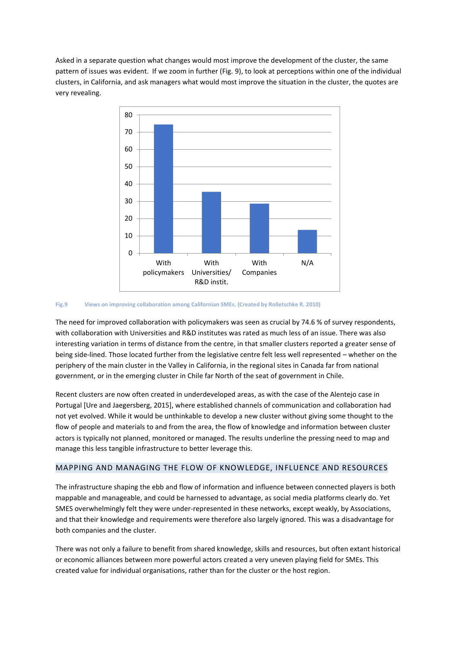Asked in a separate question what changes would most improve the development of the cluster, the same pattern of issues was evident. If we zoom in further (Fig. 9), to look at perceptions within one of the individual clusters, in California, and ask managers what would most improve the situation in the cluster, the quotes are very revealing.



#### **Fig.9 Views on improving collaboration among Californian SMEs. (Created by Rolletschke R. 2010)**

The need for improved collaboration with policymakers was seen as crucial by 74.6 % of survey respondents, with collaboration with Universities and R&D institutes was rated as much less of an issue. There was also interesting variation in terms of distance from the centre, in that smaller clusters reported a greater sense of being side-lined. Those located further from the legislative centre felt less well represented – whether on the periphery of the main cluster in the Valley in California, in the regional sites in Canada far from national government, or in the emerging cluster in Chile far North of the seat of government in Chile.

Recent clusters are now often created in underdeveloped areas, as with the case of the Alentejo case in Portugal [Ure and Jaegersberg, 2015], where established channels of communication and collaboration had not yet evolved. While it would be unthinkable to develop a new cluster without giving some thought to the flow of people and materials to and from the area, the flow of knowledge and information between cluster actors is typically not planned, monitored or managed. The results underline the pressing need to map and manage this less tangible infrastructure to better leverage this.

# MAPPING AND MANAGING THE FLOW OF KNOWLEDGE, INFLUENCE AND RESOURCES

The infrastructure shaping the ebb and flow of information and influence between connected players is both mappable and manageable, and could be harnessed to advantage, as social media platforms clearly do. Yet SMES overwhelmingly felt they were under-represented in these networks, except weakly, by Associations, and that their knowledge and requirements were therefore also largely ignored. This was a disadvantage for both companies and the cluster.

There was not only a failure to benefit from shared knowledge, skills and resources, but often extant historical or economic alliances between more powerful actors created a very uneven playing field for SMEs. This created value for individual organisations, rather than for the cluster or the host region.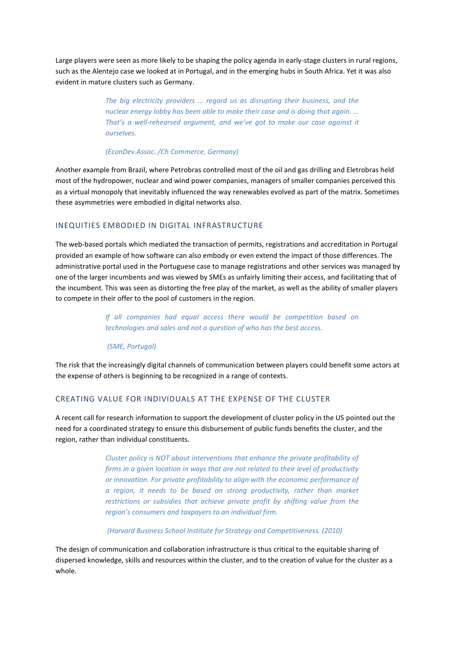Large players were seen as more likely to be shaping the policy agenda in early-stage clusters in rural regions, such as the Alentejo case we looked at in Portugal, and in the emerging hubs in South Africa. Yet it was also evident in mature clusters such as Germany.

> *The big electricity providers … regard us as disrupting their business, and the nuclear energy lobby has been able to make their case and is doing that again. … That's a well-rehearsed argument, and we've got to make our case against it ourselves.*

#### *(EconDev.Assoc. /Ch Commerce, Germany)*

Another example from Brazil, where Petrobras controlled most of the oil and gas drilling and Eletrobras held most of the hydropower, nuclear and wind power companies, managers of smaller companies perceived this as a virtual monopoly that inevitably influenced the way renewables evolved as part of the matrix. Sometimes these asymmetries were embodied in digital networks also.

## INEQUITIES EMBODIED IN DIGITAL INFRASTRUCTURE

The web-based portals which mediated the transaction of permits, registrations and accreditation in Portugal provided an example of how software can also embody or even extend the impact of those differences. The administrative portal used in the Portuguese case to manage registrations and other services was managed by one of the larger incumbents and was viewed by SMEs as unfairly limiting their access, and facilitating that of the incumbent. This was seen as distorting the free play of the market, as well as the ability of smaller players to compete in their offer to the pool of customers in the region.

> *If all companies had equal access there would be competition based on technologies and sales and not a question of who has the best access.*

*(SME, Portugal)*

The risk that the increasingly digital channels of communication between players could benefit some actors at the expense of others is beginning to be recognized in a range of contexts.

#### CREATING VALUE FOR INDIVIDUALS AT THE EXPENSE OF THE CLUSTER

A recent call for research information to support the development of cluster policy in the US pointed out the need for a coordinated strategy to ensure this disbursement of public funds benefits the cluster, and the region, rather than individual constituents.

> *Cluster policy is NOT about interventions that enhance the private profitability of firms in a given location in ways that are not related to their level of productivity or innovation. For private profitability to align with the economic performance of a region, it needs to be based on strong productivity, rather than market*  restrictions or subsidies that achieve private profit by shifting value from the *region's consumers and taxpayers to an individual firm.*

*(Harvard Business School Institute for Strategy and Competitiveness. (2010)*

The design of communication and collaboration infrastructure is thus critical to the equitable sharing of dispersed knowledge, skills and resources within the cluster, and to the creation of value for the cluster as a whole.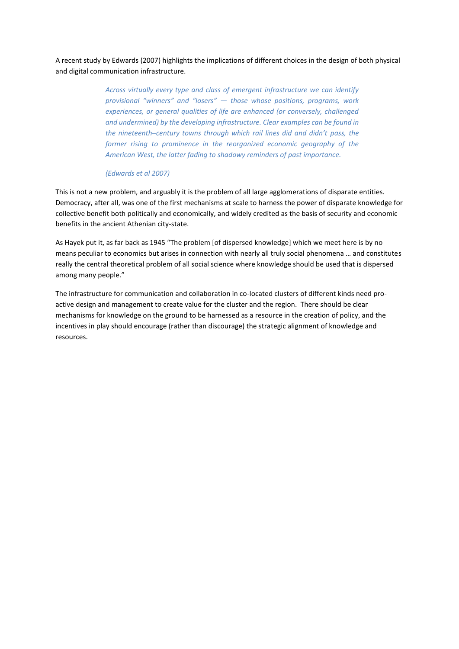A recent study by Edwards (2007) highlights the implications of different choices in the design of both physical and digital communication infrastructure.

> *Across virtually every type and class of emergent infrastructure we can identify provisional "winners" and "losers" — those whose positions, programs, work experiences, or general qualities of life are enhanced (or conversely, challenged and undermined) by the developing infrastructure. Clear examples can be found in the nineteenth–century towns through which rail lines did and didn't pass, the former rising to prominence in the reorganized economic geography of the American West, the latter fading to shadowy reminders of past importance.*

#### *(Edwards et al 2007)*

This is not a new problem, and arguably it is the problem of all large agglomerations of disparate entities. Democracy, after all, was one of the first mechanisms at scale to harness the power of disparate knowledge for collective benefit both politically and economically, and widely credited as the basis of security and economic benefits in the ancient Athenian city-state.

As Hayek put it, as far back as 1945 "The problem [of dispersed knowledge] which we meet here is by no means peculiar to economics but arises in connection with nearly all truly social phenomena … and constitutes really the central theoretical problem of all social science where knowledge should be used that is dispersed among many people."

The infrastructure for communication and collaboration in co-located clusters of different kinds need proactive design and management to create value for the cluster and the region. There should be clear mechanisms for knowledge on the ground to be harnessed as a resource in the creation of policy, and the incentives in play should encourage (rather than discourage) the strategic alignment of knowledge and resources.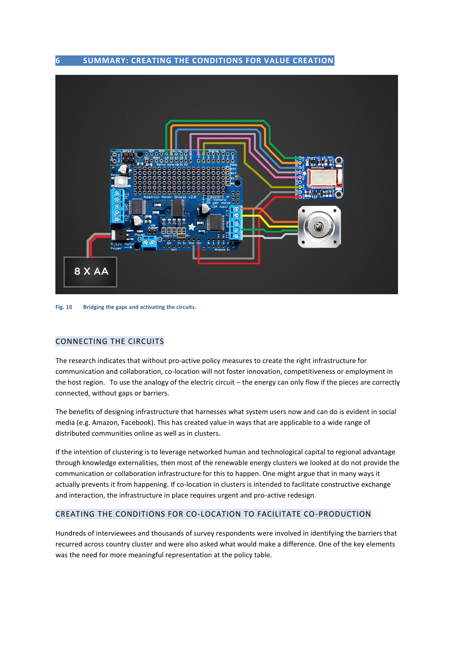**6 SUMMARY: CREATING THE CONDITIONS FOR VALUE CREATION** 



**Fig. 10 Bridging the gaps and activating the circuits.** 

# CONNECTING THE CIRCUITS

The research indicates that without pro-active policy measures to create the right infrastructure for communication and collaboration, co-location will not foster innovation, competitiveness or employment in the host region. To use the analogy of the electric circuit – the energy can only flow if the pieces are correctly connected, without gaps or barriers.

The benefits of designing infrastructure that harnesses what system users now and can do is evident in social media (e.g. Amazon, Facebook). This has created value in ways that are applicable to a wide range of distributed communities online as well as in clusters.

If the intention of clustering is to leverage networked human and technological capital to regional advantage through knowledge externalities, then most of the renewable energy clusters we looked at do not provide the communication or collaboration infrastructure for this to happen. One might argue that in many ways it actually prevents it from happening. If co-location in clusters is intended to facilitate constructive exchange and interaction, the infrastructure in place requires urgent and pro-active redesign.

# CREATING THE CONDITIONS FOR CO-LOCATION TO FACILITATE CO-PRODUCTION

Hundreds of interviewees and thousands of survey respondents were involved in identifying the barriers that recurred across country cluster and were also asked what would make a difference. One of the key elements was the need for more meaningful representation at the policy table.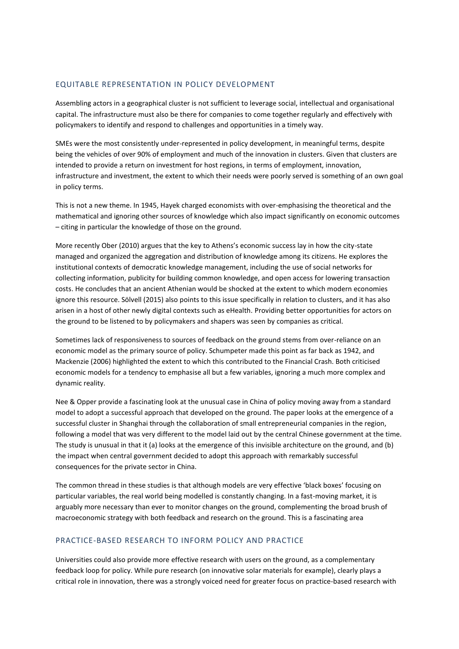# EQUITABLE REPRESENTATION IN POLICY DEVELOPMENT

Assembling actors in a geographical cluster is not sufficient to leverage social, intellectual and organisational capital. The infrastructure must also be there for companies to come together regularly and effectively with policymakers to identify and respond to challenges and opportunities in a timely way.

SMEs were the most consistently under-represented in policy development, in meaningful terms, despite being the vehicles of over 90% of employment and much of the innovation in clusters. Given that clusters are intended to provide a return on investment for host regions, in terms of employment, innovation, infrastructure and investment, the extent to which their needs were poorly served is something of an own goal in policy terms.

This is not a new theme. In 1945, Hayek charged economists with over-emphasising the theoretical and the mathematical and ignoring other sources of knowledge which also impact significantly on economic outcomes – citing in particular the knowledge of those on the ground.

More recently Ober (2010) argues that the key to Athens's economic success lay in how the city-state managed and organized the aggregation and distribution of knowledge among its citizens. He explores the institutional contexts of democratic knowledge management, including the use of social networks for collecting information, publicity for building common knowledge, and open access for lowering transaction costs. He concludes that an ancient Athenian would be shocked at the extent to which modern economies ignore this resource. Sölvell (2015) also points to this issue specifically in relation to clusters, and it has also arisen in a host of other newly digital contexts such as eHealth. Providing better opportunities for actors on the ground to be listened to by policymakers and shapers was seen by companies as critical.

Sometimes lack of responsiveness to sources of feedback on the ground stems from over-reliance on an economic model as the primary source of policy. Schumpeter made this point as far back as 1942, and Mackenzie (2006) highlighted the extent to which this contributed to the Financial Crash. Both criticised economic models for a tendency to emphasise all but a few variables, ignoring a much more complex and dynamic reality.

Nee & Opper provide a fascinating look at the unusual case in China of policy moving away from a standard model to adopt a successful approach that developed on the ground. The paper looks at the emergence of a successful cluster in Shanghai through the collaboration of small entrepreneurial companies in the region, following a model that was very different to the model laid out by the central Chinese government at the time. The study is unusual in that it (a) looks at the emergence of this invisible architecture on the ground, and (b) the impact when central government decided to adopt this approach with remarkably successful consequences for the private sector in China.

The common thread in these studies is that although models are very effective 'black boxes' focusing on particular variables, the real world being modelled is constantly changing. In a fast-moving market, it is arguably more necessary than ever to monitor changes on the ground, complementing the broad brush of macroeconomic strategy with both feedback and research on the ground. This is a fascinating area

## PRACTICE-BASED RESEARCH TO INFORM POLICY AND PRACTICE

Universities could also provide more effective research with users on the ground, as a complementary feedback loop for policy. While pure research (on innovative solar materials for example), clearly plays a critical role in innovation, there was a strongly voiced need for greater focus on practice-based research with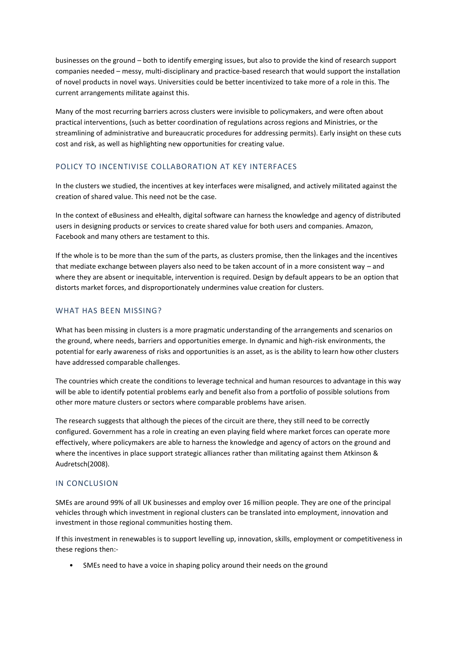businesses on the ground – both to identify emerging issues, but also to provide the kind of research support companies needed – messy, multi-disciplinary and practice-based research that would support the installation of novel products in novel ways. Universities could be better incentivized to take more of a role in this. The current arrangements militate against this.

Many of the most recurring barriers across clusters were invisible to policymakers, and were often about practical interventions, (such as better coordination of regulations across regions and Ministries, or the streamlining of administrative and bureaucratic procedures for addressing permits). Early insight on these cuts cost and risk, as well as highlighting new opportunities for creating value.

# POLICY TO INCENTIVISE COLLABORATION AT KEY INTERFACES

In the clusters we studied, the incentives at key interfaces were misaligned, and actively militated against the creation of shared value. This need not be the case.

In the context of eBusiness and eHealth, digital software can harness the knowledge and agency of distributed users in designing products or services to create shared value for both users and companies. Amazon, Facebook and many others are testament to this.

If the whole is to be more than the sum of the parts, as clusters promise, then the linkages and the incentives that mediate exchange between players also need to be taken account of in a more consistent way – and where they are absent or inequitable, intervention is required. Design by default appears to be an option that distorts market forces, and disproportionately undermines value creation for clusters.

# WHAT HAS BEEN MISSING?

What has been missing in clusters is a more pragmatic understanding of the arrangements and scenarios on the ground, where needs, barriers and opportunities emerge. In dynamic and high-risk environments, the potential for early awareness of risks and opportunities is an asset, as is the ability to learn how other clusters have addressed comparable challenges.

The countries which create the conditions to leverage technical and human resources to advantage in this way will be able to identify potential problems early and benefit also from a portfolio of possible solutions from other more mature clusters or sectors where comparable problems have arisen.

The research suggests that although the pieces of the circuit are there, they still need to be correctly configured. Government has a role in creating an even playing field where market forces can operate more effectively, where policymakers are able to harness the knowledge and agency of actors on the ground and where the incentives in place support strategic alliances rather than militating against them Atkinson & Audretsch(2008).

# IN CONCLUSION

SMEs are around 99% of all UK businesses and employ over 16 million people. They are one of the principal vehicles through which investment in regional clusters can be translated into employment, innovation and investment in those regional communities hosting them.

If this investment in renewables is to support levelling up, innovation, skills, employment or competitiveness in these regions then:-

• SMEs need to have a voice in shaping policy around their needs on the ground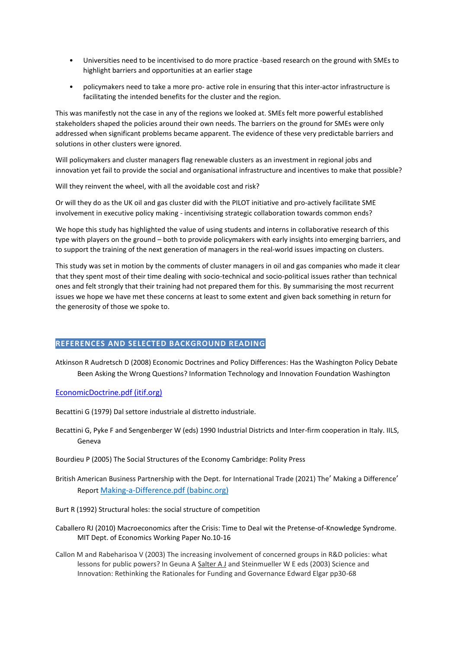- Universities need to be incentivised to do more practice -based research on the ground with SMEs to highlight barriers and opportunities at an earlier stage
- policymakers need to take a more pro- active role in ensuring that this inter-actor infrastructure is facilitating the intended benefits for the cluster and the region.

This was manifestly not the case in any of the regions we looked at. SMEs felt more powerful established stakeholders shaped the policies around their own needs. The barriers on the ground for SMEs were only addressed when significant problems became apparent. The evidence of these very predictable barriers and solutions in other clusters were ignored.

Will policymakers and cluster managers flag renewable clusters as an investment in regional jobs and innovation yet fail to provide the social and organisational infrastructure and incentives to make that possible?

Will they reinvent the wheel, with all the avoidable cost and risk?

Or will they do as the UK oil and gas cluster did with the PILOT initiative and pro-actively facilitate SME involvement in executive policy making - incentivising strategic collaboration towards common ends?

We hope this study has highlighted the value of using students and interns in collaborative research of this type with players on the ground – both to provide policymakers with early insights into emerging barriers, and to support the training of the next generation of managers in the real-world issues impacting on clusters.

This study was set in motion by the comments of cluster managers in oil and gas companies who made it clear that they spent most of their time dealing with socio-technical and socio-political issues rather than technical ones and felt strongly that their training had not prepared them for this. By summarising the most recurrent issues we hope we have met these concerns at least to some extent and given back something in return for the generosity of those we spoke to.

## **REFERENCES AND SELECTED BACKGROUND READING**

Atkinson R Audretsch D (2008) Economic Doctrines and Policy Differences: Has the Washington Policy Debate Been Asking the Wrong Questions? Information Technology and Innovation Foundation Washington

## [EconomicDoctrine.pdf \(itif.org\)](https://itif.org/files/EconomicDoctrine.pdf)

Becattini G (1979) Dal settore industriale al distretto industriale.

- Becattini G, Pyke F and Sengenberger W (eds) 1990 Industrial Districts and Inter-firm cooperation in Italy. IILS, Geneva
- Bourdieu P (2005) The Social Structures of the Economy Cambridge: Polity Press
- British American Business Partnership with the Dept. for International Trade (2021) The' Making a Difference' Report [Making-a-Difference.pdf \(babinc.org\)](https://babinc.org/wp-content/uploads/2021/01/Making-a-Difference.pdf)
- Burt R (1992) Structural holes: the social structure of competition
- Caballero RJ (2010) Macroeconomics after the Crisis: Time to Deal wit the Pretense-of-Knowledge Syndrome. MIT Dept. of Economics Working Paper No.10-16
- Callon M and Rabeharisoa V (2003) The increasing involvement of concerned groups in R&D policies: what lessons for public powers? In Geuna A [Salter A J](http://opus.bath.ac.uk/view/person_id/7924.html) and Steinmueller W E eds (2003) Science and Innovation: Rethinking the Rationales for Funding and Governance Edward Elgar pp30-68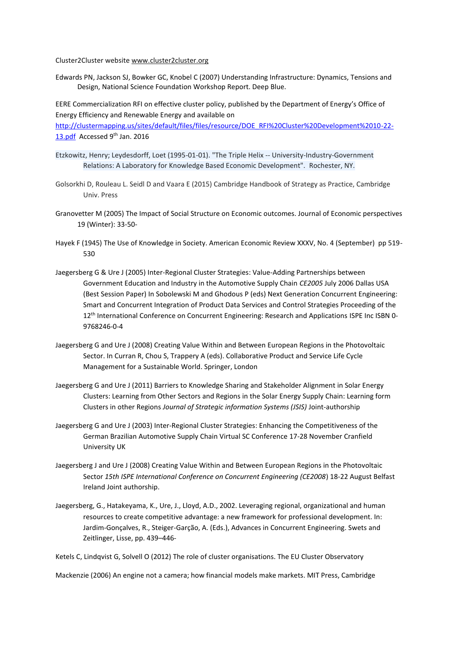Cluster2Cluster websit[e www.cluster2cluster.org](http://www.cluster2cluster.org/)

Edwards PN, Jackson SJ, Bowker GC, Knobel C (2007) Understanding Infrastructure: Dynamics, Tensions and Design, National Science Foundation Workshop Report. Deep Blue.

EERE Commercialization RFI on effective cluster policy, published by the Department of Energy's Office of Energy Efficiency and Renewable Energy and available on

[http://clustermapping.us/sites/default/files/files/resource/DOE\\_RFI%20Cluster%20Development%2010-22-](http://clustermapping.us/sites/default/files/files/resource/DOE_RFI%20Cluster%20Development%2010-22-13.pdf) [13.pdf](http://clustermapping.us/sites/default/files/files/resource/DOE_RFI%20Cluster%20Development%2010-22-13.pdf) Accessed 9<sup>th</sup> Jan. 2016

- Etzkowitz, Henry; Leydesdorff, Loet (1995-01-01). "The Triple Helix -- University-Industry-Government Relations: A Laboratory for Knowledge Based Economic Development". Rochester, NY.
- Golsorkhi D, Rouleau L. Seidl D and Vaara E (2015) Cambridge Handbook of Strategy as Practice, Cambridge Univ. Press
- Granovetter M (2005) The Impact of Social Structure on Economic outcomes. Journal of Economic perspectives 19 (Winter): 33-50-
- Hayek F (1945) The Use of Knowledge in Society. American Economic Review XXXV, No. 4 (September) pp 519- 530
- Jaegersberg G & Ure J (2005) Inter-Regional Cluster Strategies: Value-Adding Partnerships between Government Education and Industry in the Automotive Supply Chain *CE2005* July 2006 Dallas USA (Best Session Paper) In Sobolewski M and Ghodous P (eds) Next Generation Concurrent Engineering: Smart and Concurrent Integration of Product Data Services and Control Strategies Proceeding of the 12<sup>th</sup> International Conference on Concurrent Engineering: Research and Applications ISPE Inc ISBN 0-9768246-0-4
- Jaegersberg G and Ure J (2008) Creating Value Within and Between European Regions in the Photovoltaic Sector. In Curran R, Chou S, Trappery A (eds). Collaborative Product and Service Life Cycle Management for a Sustainable World. Springer, London
- Jaegersberg G and Ure J (2011) Barriers to Knowledge Sharing and Stakeholder Alignment in Solar Energy Clusters: Learning from Other Sectors and Regions in the Solar Energy Supply Chain: Learning form Clusters in other Regions *Journal of Strategic information Systems (JSIS)* Joint-authorship
- Jaegersberg G and Ure J (2003) Inter-Regional Cluster Strategies: Enhancing the Competitiveness of the German Brazilian Automotive Supply Chain Virtual SC Conference 17-28 November Cranfield University UK
- Jaegersberg J and Ure J (2008) Creating Value Within and Between European Regions in the Photovoltaic Sector *15th ISPE International Conference on Concurrent Engineering (CE2008*) 18-22 August Belfast Ireland Joint authorship.
- Jaegersberg, G., Hatakeyama, K., Ure, J., Lloyd, A.D., 2002. Leveraging regional, organizational and human resources to create competitive advantage: a new framework for professional development. In: Jardim-Gonçalves, R., Steiger-Garção, A. (Eds.), Advances in Concurrent Engineering. Swets and Zeitlinger, Lisse, pp. 439–446-

Ketels C, Lindqvist G, Solvell O (2012) The role of cluster organisations. The EU Cluster Observatory

Mackenzie (2006) An engine not a camera; how financial models make markets. MIT Press, Cambridge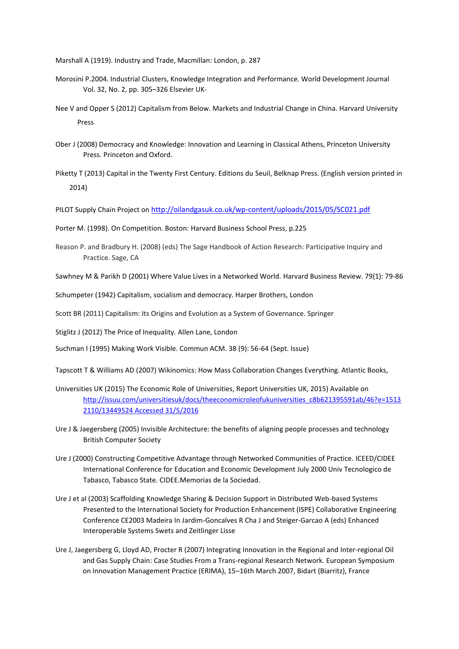Marshall A (1919). Industry and Trade, Macmillan: London, p. 287

- Morosini P.2004. Industrial Clusters, Knowledge Integration and Performance. World Development Journal Vol. 32, No. 2, pp. 305–326 Elsevier UK-
- Nee V and Opper S (2012) Capitalism from Below. Markets and Industrial Change in China. Harvard University Press
- Ober J (2008) Democracy and Knowledge: Innovation and Learning in Classical Athens, Princeton University Press. Princeton and Oxford.
- Piketty T (2013) Capital in the Twenty First Century. Editions du Seuil, Belknap Press. (English version printed in 2014)

PILOT Supply Chain Project on <http://oilandgasuk.co.uk/wp-content/uploads/2015/05/SC021.pdf>

Porter M. (1998). On Competition. Boston: Harvard Business School Press, p.225

Reason P. and Bradbury H. (2008) (eds) The Sage Handbook of Action Research: Participative Inquiry and Practice. Sage, CA

Sawhney M & Parikh D (2001) Where Value Lives in a Networked World. Harvard Business Review. 79(1): 79-86

Schumpeter (1942) Capitalism, socialism and democracy. Harper Brothers, London

Scott BR (2011) Capitalism: Its Origins and Evolution as a System of Governance. Springer

Stiglitz J (2012) The Price of Inequality*.* Allen Lane, London

Suchman l (1995) Making Work Visible. Commun ACM. 38 (9): 56-64 (Sept. Issue)

Tapscott T & Williams AD (2007) Wikinomics: How Mass Collaboration Changes Everything. Atlantic Books,

- Universities UK (2015) The Economic Role of Universities, Report Universities UK, 2015) Available on [http://issuu.com/universitiesuk/docs/theeconomicroleofukuniversities\\_c8b621395591ab/46?e=1513](http://issuu.com/universitiesuk/docs/theeconomicroleofukuniversities_c8b621395591ab/46?e=15132110/13449524%20Accessed%2031/5/2016) [2110/13449524 Accessed 31/5/2016](http://issuu.com/universitiesuk/docs/theeconomicroleofukuniversities_c8b621395591ab/46?e=15132110/13449524%20Accessed%2031/5/2016)
- Ure J & Jaegersberg (2005) Invisible Architecture: the benefits of aligning people processes and technology British Computer Society
- Ure J (2000) Constructing Competitive Advantage through Networked Communities of Practice. ICEED/CIDEE International Conference for Education and Economic Development July 2000 Univ Tecnologico de Tabasco, Tabasco State. CIDEE.Memorias de la Sociedad.
- Ure J et al (2003) Scaffolding Knowledge Sharing & Decision Support in Distributed Web-based Systems Presented to the International Society for Production Enhancement (ISPE) Collaborative Engineering Conference CE2003 Madeira In Jardim-Goncalves R Cha J and Steiger-Garcao A (eds) Enhanced Interoperable Systems Swets and Zeitlinger Lisse
- Ure J, Jaegersberg G, Lloyd AD, Procter R (2007) Integrating Innovation in the Regional and Inter-regional Oil and Gas Supply Chain: Case Studies From a Trans-regional Research Network. European Symposium on Innovation Management Practice (ERIMA), 15–16th March 2007, Bidart (Biarritz), France